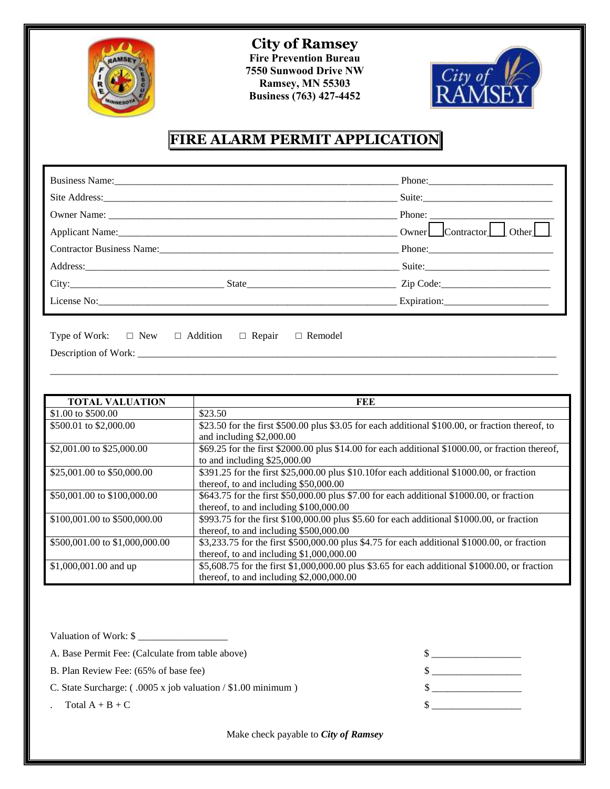

**City of Ramsey Fire Prevention Bureau 7550 Sunwood Drive NW Ramsey, MN 55303 Business (763) 427-4452** 



## **FIRE ALARM PERMIT APPLICATION**

|                                                                                                                | Suite:                                                     |             |
|----------------------------------------------------------------------------------------------------------------|------------------------------------------------------------|-------------|
|                                                                                                                |                                                            |             |
|                                                                                                                | $0$ wner $\Box$ Contractor $\Box$<br>Other $\vert$ $\vert$ |             |
| Contractor Business Name: 2008 and 2008 and 2008 and 2008 and 2008 and 2008 and 2008 and 2008 and 2008 and 200 |                                                            |             |
| Address:                                                                                                       |                                                            | Suite:      |
| City:                                                                                                          | State Zip Code:                                            |             |
|                                                                                                                |                                                            | Expiration: |

| Type of Work: $\square$ New $\square$ Addition $\square$ Repair $\square$ Remodel |  |  |
|-----------------------------------------------------------------------------------|--|--|
| Description of Work:                                                              |  |  |

| <b>TOTAL VALUATION</b>         | FEE                                                                                              |  |  |
|--------------------------------|--------------------------------------------------------------------------------------------------|--|--|
| \$1.00 to $$500.00$            | \$23.50                                                                                          |  |  |
| \$500.01 to \$2,000.00         | \$23.50 for the first \$500.00 plus \$3.05 for each additional \$100.00, or fraction thereof, to |  |  |
|                                | and including \$2,000.00                                                                         |  |  |
| \$2,001.00 to \$25,000.00      | \$69.25 for the first \$2000.00 plus \$14.00 for each additional \$1000.00, or fraction thereof, |  |  |
|                                | to and including $$25,000.00$                                                                    |  |  |
| \$25,001.00 to \$50,000.00     | \$391.25 for the first \$25,000.00 plus \$10.10for each additional \$1000.00, or fraction        |  |  |
|                                | thereof, to and including \$50,000.00                                                            |  |  |
| \$50,001.00 to \$100,000.00    | \$643.75 for the first \$50,000.00 plus \$7.00 for each additional \$1000.00, or fraction        |  |  |
|                                | thereof, to and including \$100,000.00                                                           |  |  |
| \$100,001.00 to \$500,000.00   | \$993.75 for the first \$100,000.00 plus \$5.60 for each additional \$1000.00, or fraction       |  |  |
|                                | thereof, to and including \$500,000.00                                                           |  |  |
| \$500,001.00 to \$1,000,000.00 | \$3,233.75 for the first \$500,000.00 plus \$4.75 for each additional \$1000.00, or fraction     |  |  |
|                                | thereof, to and including $$1,000,000.00$                                                        |  |  |
| \$1,000,001.00 and up          | \$5,608.75 for the first \$1,000,000.00 plus \$3.65 for each additional \$1000.00, or fraction   |  |  |
|                                | thereof, to and including $$2,000,000.00$                                                        |  |  |

\_\_\_\_\_\_\_\_\_\_\_\_\_\_\_\_\_\_\_\_\_\_\_\_\_\_\_\_\_\_\_\_\_\_\_\_\_\_\_\_\_\_\_\_\_\_\_\_\_\_\_\_\_\_\_\_\_\_\_\_\_\_\_\_\_\_\_\_\_\_\_\_\_\_\_\_\_\_\_\_\_\_\_\_\_\_\_\_\_\_\_\_\_\_\_\_\_\_\_\_\_\_

| Valuation of Work: \$                                                |  |
|----------------------------------------------------------------------|--|
| A. Base Permit Fee: (Calculate from table above)                     |  |
| B. Plan Review Fee: (65% of base fee)                                |  |
| C. State Surcharge: $(.0005 \times job$ valuation / \$1.00 minimum ) |  |
| Total $A + B + C$                                                    |  |

Make check payable to *City of Ramsey*